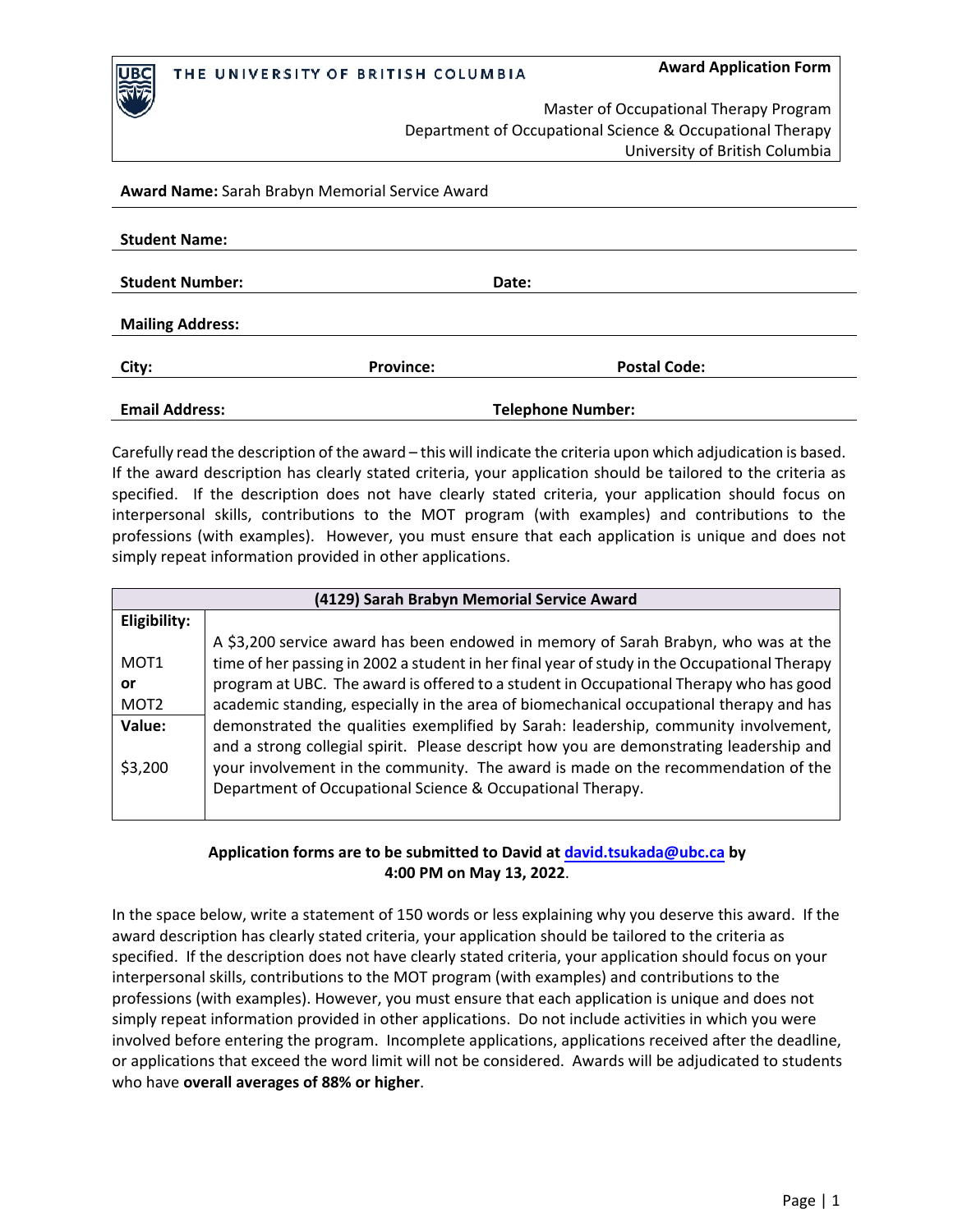

Master of Occupational Therapy Program Department of Occupational Science & Occupational Therapy University of British Columbia

## **Award Name:** Sarah Brabyn Memorial Service Award

| <b>Student Name:</b>    |                  |                          |  |
|-------------------------|------------------|--------------------------|--|
|                         |                  |                          |  |
| <b>Student Number:</b>  |                  | Date:                    |  |
|                         |                  |                          |  |
| <b>Mailing Address:</b> |                  |                          |  |
|                         |                  |                          |  |
| City:                   | <b>Province:</b> | <b>Postal Code:</b>      |  |
|                         |                  |                          |  |
| <b>Email Address:</b>   |                  | <b>Telephone Number:</b> |  |

Carefully read the description of the award – this will indicate the criteria upon which adjudication is based. If the award description has clearly stated criteria, your application should be tailored to the criteria as specified. If the description does not have clearly stated criteria, your application should focus on interpersonal skills, contributions to the MOT program (with examples) and contributions to the professions (with examples). However, you must ensure that each application is unique and does not simply repeat information provided in other applications.

| (4129) Sarah Brabyn Memorial Service Award |                                                                                              |  |
|--------------------------------------------|----------------------------------------------------------------------------------------------|--|
| Eligibility:                               |                                                                                              |  |
|                                            | A \$3,200 service award has been endowed in memory of Sarah Brabyn, who was at the           |  |
| MOT <sub>1</sub>                           | time of her passing in 2002 a student in her final year of study in the Occupational Therapy |  |
| or                                         | program at UBC. The award is offered to a student in Occupational Therapy who has good       |  |
| MOT <sub>2</sub>                           | academic standing, especially in the area of biomechanical occupational therapy and has      |  |
| Value:                                     | demonstrated the qualities exemplified by Sarah: leadership, community involvement,          |  |
|                                            | and a strong collegial spirit. Please descript how you are demonstrating leadership and      |  |
| \$3,200                                    | your involvement in the community. The award is made on the recommendation of the            |  |
|                                            | Department of Occupational Science & Occupational Therapy.                                   |  |
|                                            |                                                                                              |  |

## **Application forms are to be submitted to David at [david.tsukada@ubc.ca](mailto:david.tsukada@ubc.ca) by 4:00 PM on May 13, 2022**.

In the space below, write a statement of 150 words or less explaining why you deserve this award. If the award description has clearly stated criteria, your application should be tailored to the criteria as specified. If the description does not have clearly stated criteria, your application should focus on your interpersonal skills, contributions to the MOT program (with examples) and contributions to the professions (with examples). However, you must ensure that each application is unique and does not simply repeat information provided in other applications. Do not include activities in which you were involved before entering the program. Incomplete applications, applications received after the deadline, or applications that exceed the word limit will not be considered. Awards will be adjudicated to students who have **overall averages of 88% or higher**.